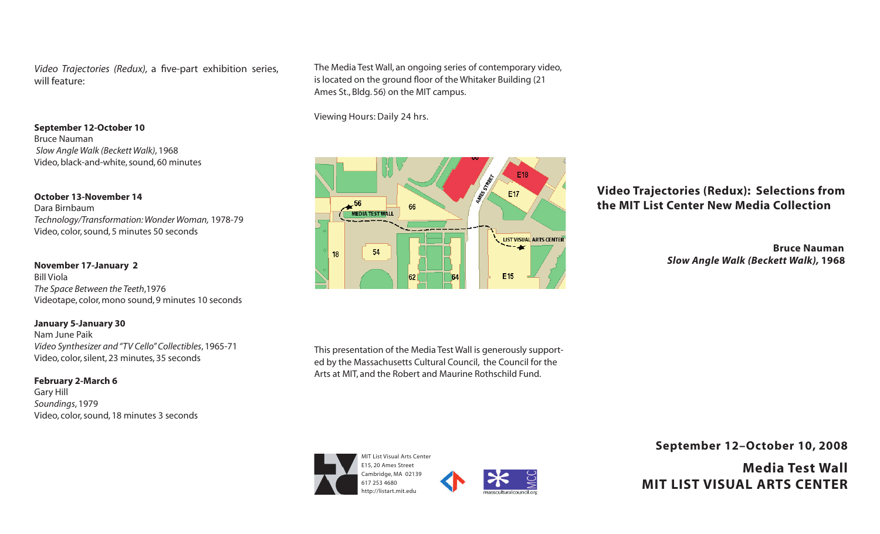*Video Trajectories (Redux),* a five-part exhibition series, will feature:

**September 12-October 10** Bruce Nauman

 *Slow Angle Walk (Beckett Walk)*, 1968 Video, black-and-white, sound, 60 minutes

**October 13-November 14** Dara Birnbaum *Technology/Transformation: Wonder Woman,* 1978-79 Video, color, sound, 5 minutes 50 seconds

**November 17-January 2** Bill Viola *The Space Between the Teeth*,1976 Videotape, color, mono sound, 9 minutes 10 seconds

#### **January 5-January 30**

Nam June Paik *Video Synthesizer and "TV Cello" Collectibles*, 1965-71 Video, color, silent, 23 minutes, 35 seconds

**February 2-March 6** Gary Hill *Soundings*, 1979 Video, color, sound, 18 minutes 3 seconds The Media Test Wall, an ongoing series of contemporary video, is located on the ground floor of the Whitaker Building (21 Ames St., Bldg. 56) on the MIT campus.

Viewing Hours: Daily 24 hrs.



# **Video Trajectories (Redux): Selections from the MIT List Center New Media Collection**

 **Bruce Nauman**  *Slow Angle Walk (Beckett Walk),* **1968**

This presentation of the Media Test Wall is generously supported by the Massachusetts Cultural Council, the Council for the Arts at MIT, and the Robert and Maurine Rothschild Fund.





**September 12–October 10, 2008**

**Media Test Wall MIT LIST VISUAL ARTS CENTER**